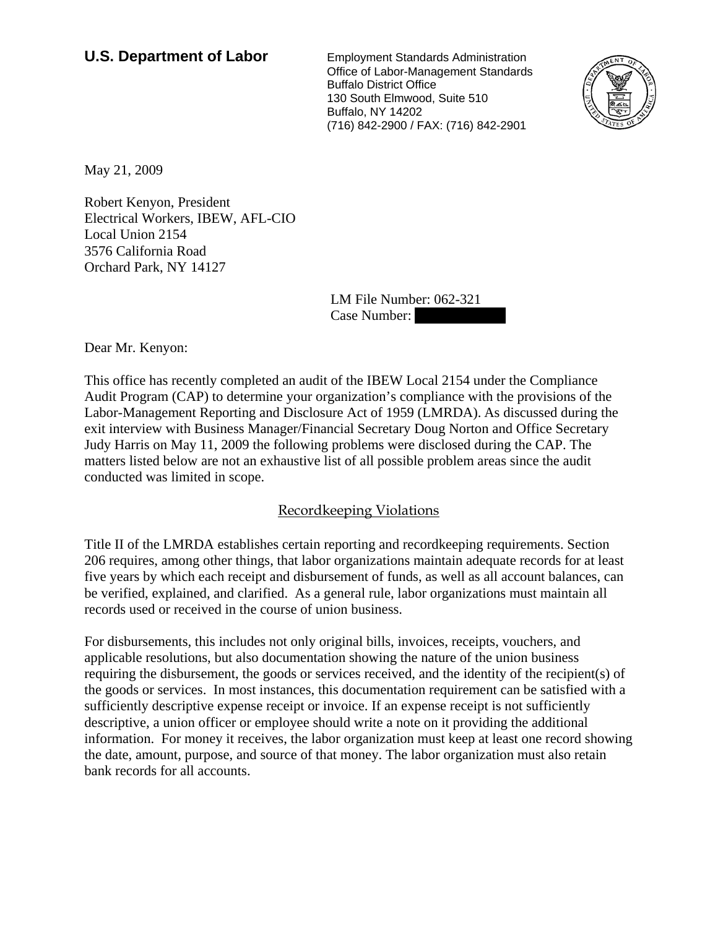## **U.S. Department of Labor** Employment Standards Administration

 Office of Labor-Management Standards Buffalo District Office 130 South Elmwood, Suite 510 Buffalo, NY 14202 (716) 842-2900 / FAX: (716) 842-2901



May 21, 2009

Robert Kenyon, President Electrical Workers, IBEW, AFL-CIO Local Union 2154 3576 California Road Orchard Park, NY 14127

> LM File Number: 062-321 Case Number:

Dear Mr. Kenyon:

This office has recently completed an audit of the IBEW Local 2154 under the Compliance Audit Program (CAP) to determine your organization's compliance with the provisions of the Labor-Management Reporting and Disclosure Act of 1959 (LMRDA). As discussed during the exit interview with Business Manager/Financial Secretary Doug Norton and Office Secretary Judy Harris on May 11, 2009 the following problems were disclosed during the CAP. The matters listed below are not an exhaustive list of all possible problem areas since the audit conducted was limited in scope.

## Recordkeeping Violations

Title II of the LMRDA establishes certain reporting and recordkeeping requirements. Section 206 requires, among other things, that labor organizations maintain adequate records for at least five years by which each receipt and disbursement of funds, as well as all account balances, can be verified, explained, and clarified. As a general rule, labor organizations must maintain all records used or received in the course of union business.

For disbursements, this includes not only original bills, invoices, receipts, vouchers, and applicable resolutions, but also documentation showing the nature of the union business requiring the disbursement, the goods or services received, and the identity of the recipient(s) of the goods or services. In most instances, this documentation requirement can be satisfied with a sufficiently descriptive expense receipt or invoice. If an expense receipt is not sufficiently descriptive, a union officer or employee should write a note on it providing the additional information. For money it receives, the labor organization must keep at least one record showing the date, amount, purpose, and source of that money. The labor organization must also retain bank records for all accounts.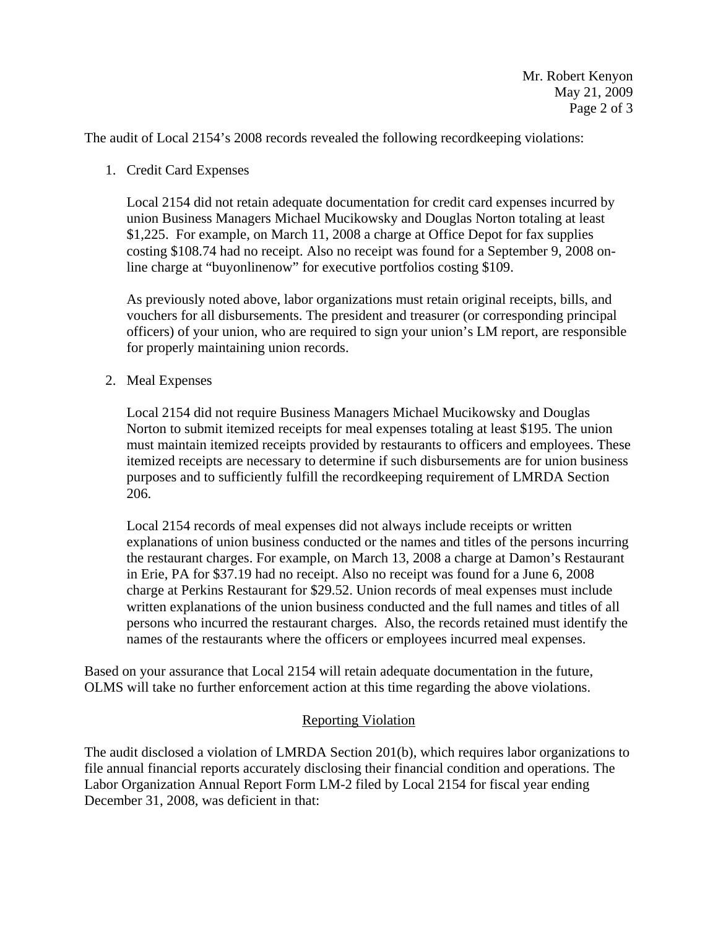The audit of Local 2154's 2008 records revealed the following recordkeeping violations:

1. Credit Card Expenses

Local 2154 did not retain adequate documentation for credit card expenses incurred by union Business Managers Michael Mucikowsky and Douglas Norton totaling at least \$1,225. For example, on March 11, 2008 a charge at Office Depot for fax supplies costing \$108.74 had no receipt. Also no receipt was found for a September 9, 2008 online charge at "buyonlinenow" for executive portfolios costing \$109.

As previously noted above, labor organizations must retain original receipts, bills, and vouchers for all disbursements. The president and treasurer (or corresponding principal officers) of your union, who are required to sign your union's LM report, are responsible for properly maintaining union records.

2. Meal Expenses

Local 2154 did not require Business Managers Michael Mucikowsky and Douglas Norton to submit itemized receipts for meal expenses totaling at least \$195. The union must maintain itemized receipts provided by restaurants to officers and employees. These itemized receipts are necessary to determine if such disbursements are for union business purposes and to sufficiently fulfill the recordkeeping requirement of LMRDA Section 206.

Local 2154 records of meal expenses did not always include receipts or written explanations of union business conducted or the names and titles of the persons incurring the restaurant charges. For example, on March 13, 2008 a charge at Damon's Restaurant in Erie, PA for \$37.19 had no receipt. Also no receipt was found for a June 6, 2008 charge at Perkins Restaurant for \$29.52. Union records of meal expenses must include written explanations of the union business conducted and the full names and titles of all persons who incurred the restaurant charges. Also, the records retained must identify the names of the restaurants where the officers or employees incurred meal expenses.

Based on your assurance that Local 2154 will retain adequate documentation in the future, OLMS will take no further enforcement action at this time regarding the above violations.

## Reporting Violation

The audit disclosed a violation of LMRDA Section 201(b), which requires labor organizations to file annual financial reports accurately disclosing their financial condition and operations. The Labor Organization Annual Report Form LM-2 filed by Local 2154 for fiscal year ending December 31, 2008, was deficient in that: